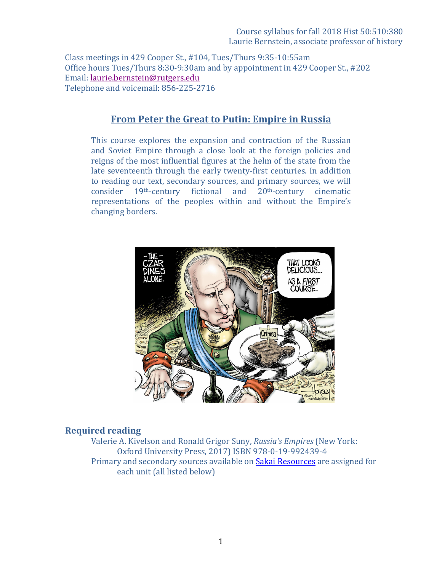### Course syllabus for fall 2018 Hist 50:510:380 Laurie Bernstein, associate professor of history

Class meetings in 429 Cooper St., #104, Tues/Thurs 9:35-10:55am Office hours Tues/Thurs 8:30-9:30am and by appointment in 429 Cooper St., #202 Email: laurie.bernstein@rutgers.edu Telephone and voicemail: 856-225-2716

# **From Peter the Great to Putin: Empire in Russia**

This course explores the expansion and contraction of the Russian and Soviet Empire through a close look at the foreign policies and reigns of the most influential figures at the helm of the state from the late seventeenth through the early twenty-first centuries. In addition to reading our text, secondary sources, and primary sources, we will consider 19<sup>th</sup>-century fictional and 20<sup>th</sup>-century cinematic representations of the peoples within and without the Empire's changing borders.



#### **Required reading**

Valerie A. Kivelson and Ronald Grigor Suny, *Russia's Empires* (New York: Oxford University Press, 2017) ISBN 978-0-19-992439-4 Primary and secondary sources available on Sakai Resources are assigned for each unit (all listed below)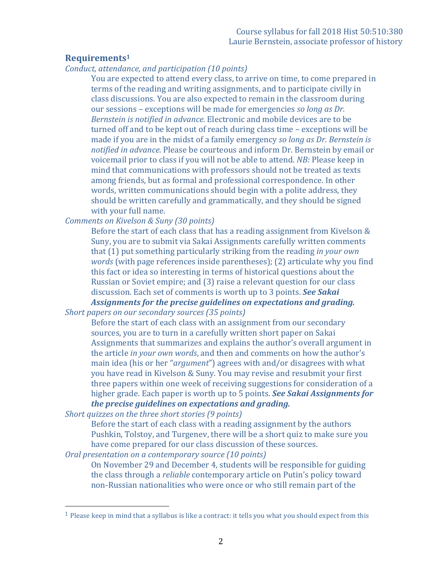## **Requirements1**

*Conduct, attendance, and participation (10 points)*

You are expected to attend every class, to arrive on time, to come prepared in terms of the reading and writing assignments, and to participate civilly in class discussions. You are also expected to remain in the classroom during our sessions – exceptions will be made for emergencies *so long as Dr. Bernstein is notified in advance.* Electronic and mobile devices are to be turned off and to be kept out of reach during class time – exceptions will be made if you are in the midst of a family emergency *so long as Dr. Bernstein is notified in advance*. Please be courteous and inform Dr. Bernstein by email or voicemail prior to class if you will not be able to attend. *NB:* Please keep in mind that communications with professors should not be treated as texts among friends, but as formal and professional correspondence. In other words, written communications should begin with a polite address, they should be written carefully and grammatically, and they should be signed with your full name.

## *Comments on Kivelson & Suny* (30 *points*)

Before the start of each class that has a reading assignment from Kivelson  $&$ Suny, you are to submit via Sakai Assignments carefully written comments that (1) put something particularly striking from the reading *in your own words* (with page references inside parentheses); (2) articulate why you find this fact or idea so interesting in terms of historical questions about the Russian or Soviet empire; and (3) raise a relevant question for our class discussion. Each set of comments is worth up to 3 points. **See Sakai** Assignments for the precise guidelines on expectations and grading.

*Short papers on our secondary sources* (35 *points*)

Before the start of each class with an assignment from our secondary sources, you are to turn in a carefully written short paper on Sakai Assignments that summarizes and explains the author's overall argument in the article *in your own words*, and then and comments on how the author's main idea (his or her "*argument*") agrees with and/or disagrees with what you have read in Kivelson & Suny. You may revise and resubmit your first three papers within one week of receiving suggestions for consideration of a higher grade. Each paper is worth up to 5 points. **See Sakai Assignments for** *the precise guidelines on expectations and grading.* 

*Short quizzes on the three short stories* (9 *points*)

 

Before the start of each class with a reading assignment by the authors Pushkin, Tolstoy, and Turgeney, there will be a short quiz to make sure you have come prepared for our class discussion of these sources.

*Oral presentation on a contemporary source* (10 *points*)

On November 29 and December 4, students will be responsible for guiding the class through a *reliable* contemporary article on Putin's policy toward non-Russian nationalities who were once or who still remain part of the

 $1$  Please keep in mind that a syllabus is like a contract: it tells you what you should expect from this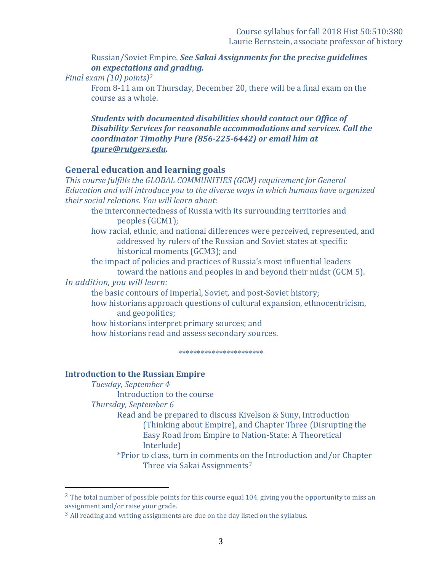Russian/Soviet Empire. See Sakai Assignments for the precise quidelines *on expectations and grading.*

*Final exam (10) points)<sup>2</sup>* 

From 8-11 am on Thursday, December 20, there will be a final exam on the course as a whole.

**Students with documented disabilities should contact our Office of Disability Services for reasonable accommodations and services. Call the** *coordinator Timothy Pure (856-225-6442)* or email him at *tpure@rutgers.edu.*

## **General education and learning goals**

This course fulfills the GLOBAL COMMUNITIES (GCM) requirement for General *Education and will introduce you to the diverse ways in which humans have organized their social relations. You will learn about:*

the interconnectedness of Russia with its surrounding territories and peoples (GCM1);

how racial, ethnic, and national differences were perceived, represented, and addressed by rulers of the Russian and Soviet states at specific historical moments (GCM3); and

the impact of policies and practices of Russia's most influential leaders toward the nations and peoples in and beyond their midst (GCM 5).

*In addition, you will learn:*

the basic contours of Imperial, Soviet, and post-Soviet history;

how historians approach questions of cultural expansion, ethnocentricism, and geopolitics;

how historians interpret primary sources; and how historians read and assess secondary sources.

\*\*\*\*\*\*\*\*\*\*\*\*\*\*\*\*\*\*\*\*\*\*\*

# **Introduction to the Russian Empire**

*Tuesday, September 4* Introduction to the course

*Thursday, September 6*

 

Read and be prepared to discuss Kivelson & Suny, Introduction (Thinking about Empire), and Chapter Three (Disrupting the Easy Road from Empire to Nation-State: A Theoretical Interlude)

\*Prior to class, turn in comments on the Introduction and/or Chapter Three via Sakai Assignments*<sup>3</sup>*

<sup>&</sup>lt;sup>2</sup> The total number of possible points for this course equal 104, giving you the opportunity to miss an assignment and/or raise your grade.

 $3$  All reading and writing assignments are due on the day listed on the syllabus.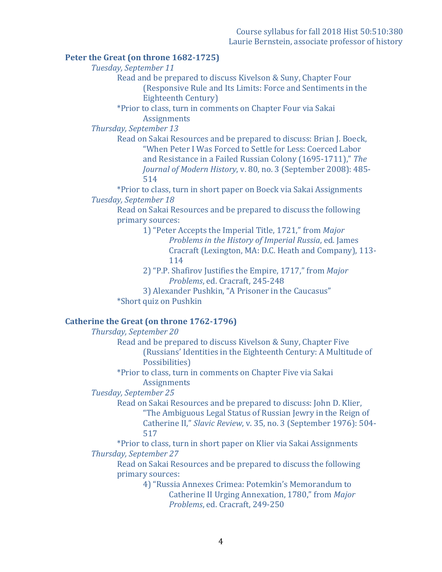#### **Peter the Great (on throne 1682-1725)**

*Tuesday, September 11*

Read and be prepared to discuss Kivelson & Suny, Chapter Four (Responsive Rule and Its Limits: Force and Sentiments in the Eighteenth Century)

\*Prior to class, turn in comments on Chapter Four via Sakai **Assignments** 

*Thursday, September 13*

Read on Sakai Resources and be prepared to discuss: Brian J. Boeck, "When Peter I Was Forced to Settle for Less: Coerced Labor and Resistance in a Failed Russian Colony (1695-1711)," The *Journal of Modern History*, v. 80, no. 3 (September 2008): 485-514

\*Prior to class, turn in short paper on Boeck via Sakai Assignments *Tuesday, September 18*

Read on Sakai Resources and be prepared to discuss the following primary sources:

> 1) "Peter Accepts the Imperial Title, 1721," from *Major Problems in the History of Imperial Russia, ed. James* Cracraft (Lexington, MA: D.C. Heath and Company), 113-114

2) "P.P. Shafirov Justifies the Empire, 1717," from *Major Problems*, ed. Cracraft, 245-248

3) Alexander Pushkin, "A Prisoner in the Caucasus" \*Short quiz on Pushkin

### **Catherine the Great (on throne 1762-1796)**

*Thursday, September 20* 

Read and be prepared to discuss Kivelson & Suny, Chapter Five (Russians' Identities in the Eighteenth Century: A Multitude of Possibilities)

\*Prior to class, turn in comments on Chapter Five via Sakai **Assignments** 

*Tuesday, September 25*

Read on Sakai Resources and be prepared to discuss: John D. Klier, "The Ambiguous Legal Status of Russian Jewry in the Reign of Catherine II," Slavic Review, v. 35, no. 3 (September 1976): 504-517

\*Prior to class, turn in short paper on Klier via Sakai Assignments *Thursday, September 27*

Read on Sakai Resources and be prepared to discuss the following primary sources:

> 4) "Russia Annexes Crimea: Potemkin's Memorandum to Catherine II Urging Annexation, 1780," from *Major Problems*, ed. Cracraft, 249-250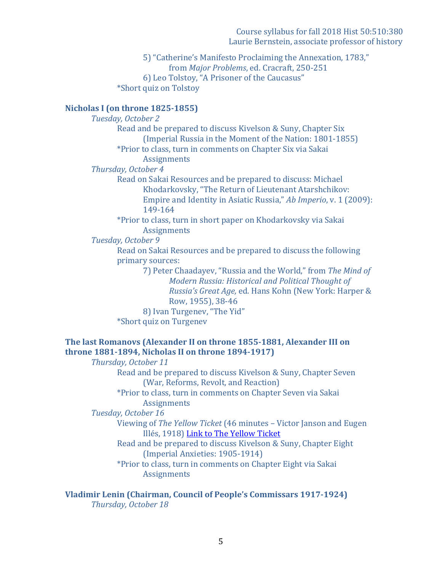Course syllabus for fall 2018 Hist 50:510:380 Laurie Bernstein, associate professor of history

5) "Catherine's Manifesto Proclaiming the Annexation, 1783," from *Major Problems*, ed. Cracraft, 250-251 6) Leo Tolstoy, "A Prisoner of the Caucasus" \*Short quiz on Tolstoy

### **Nicholas I (on throne 1825-1855)**

*Tuesday, October 2* Read and be prepared to discuss Kivelson & Suny, Chapter Six (Imperial Russia in the Moment of the Nation: 1801-1855) \*Prior to class, turn in comments on Chapter Six via Sakai **Assignments** *Thursday, October 4* Read on Sakai Resources and be prepared to discuss: Michael Khodarkovsky, "The Return of Lieutenant Atarshchikov: Empire and Identity in Asiatic Russia," Ab Imperio, v. 1 (2009): 149-164 \*Prior to class, turn in short paper on Khodarkovsky via Sakai **Assignments** *Tuesday, October 9* Read on Sakai Resources and be prepared to discuss the following primary sources: 7) Peter Chaadayey, "Russia and the World," from The Mind of *Modern Russia: Historical and Political Thought of* 

*Russia's Great Age, ed. Hans Kohn (New York: Harper &* Row, 1955), 38-46

8) Ivan Turgenev, "The Yid" \*Short quiz on Turgenev

## The last Romanovs (Alexander II on throne 1855-1881, Alexander III on **throne 1881-1894, Nicholas II on throne 1894-1917)**

*Thursday, October 11*

Read and be prepared to discuss Kivelson & Suny, Chapter Seven (War, Reforms, Revolt, and Reaction)

\*Prior to class, turn in comments on Chapter Seven via Sakai **Assignments** 

*Tuesday, October 16*

Viewing of *The Yellow Ticket* (46 minutes – Victor Janson and Eugen Illés, 1918) Link to The Yellow Ticket

Read and be prepared to discuss Kivelson & Suny, Chapter Eight (Imperial Anxieties: 1905-1914)

\*Prior to class, turn in comments on Chapter Eight via Sakai **Assignments** 

**Vladimir Lenin (Chairman, Council of People's Commissars 1917-1924)** *Thursday, October 18*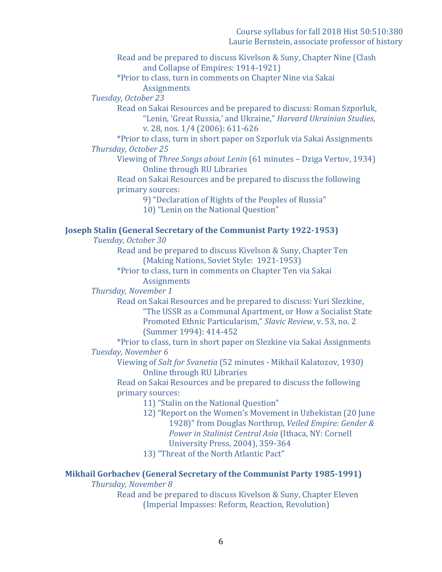Read and be prepared to discuss Kivelson & Suny, Chapter Nine (Clash and Collapse of Empires: 1914-1921)

\*Prior to class, turn in comments on Chapter Nine via Sakai **Assignments** 

*Tuesday, October 23*

Read on Sakai Resources and be prepared to discuss: Roman Szporluk, "Lenin, 'Great Russia,' and Ukraine," *Harvard Ukrainian Studies*, v. 28, nos. 1/4 (2006): 611-626

\*Prior to class, turn in short paper on Szporluk via Sakai Assignments *Thursday, October 25*

Viewing of *Three Songs about Lenin* (61 minutes – Dziga Vertov, 1934) Online through RU Libraries

Read on Sakai Resources and be prepared to discuss the following primary sources:

9) "Declaration of Rights of the Peoples of Russia"

10) "Lenin on the National Question"

#### **Joseph Stalin (General Secretary of the Communist Party 1922-1953)**

*Tuesday, October 30*

Read and be prepared to discuss Kivelson & Suny, Chapter Ten (Making Nations, Soviet Style: 1921-1953)

\*Prior to class, turn in comments on Chapter Ten via Sakai **Assignments** 

*Thursday, November 1*

Read on Sakai Resources and be prepared to discuss: Yuri Slezkine, "The USSR as a Communal Apartment, or How a Socialist State Promoted Ethnic Particularism," Slavic Review, v. 53, no. 2 (Summer 1994): 414-452

\*Prior to class, turn in short paper on Slezkine via Sakai Assignments *Tuesday, November 6*

Viewing of *Salt for Svanetia* (52 minutes - Mikhail Kalatozov, 1930) Online through RU Libraries

Read on Sakai Resources and be prepared to discuss the following primary sources:

- 11) "Stalin on the National Question"
- 12) "Report on the Women's Movement in Uzbekistan (20 June) 1928)" from Douglas Northrop, *Veiled Empire: Gender &* Power in Stalinist Central Asia (Ithaca, NY: Cornell University Press, 2004), 359-364

13) "Threat of the North Atlantic Pact"

### **Mikhail Gorbachev (General Secretary of the Communist Party 1985-1991)**

**Thursday, November 8** 

Read and be prepared to discuss Kivelson & Suny, Chapter Eleven (Imperial Impasses: Reform, Reaction, Revolution)